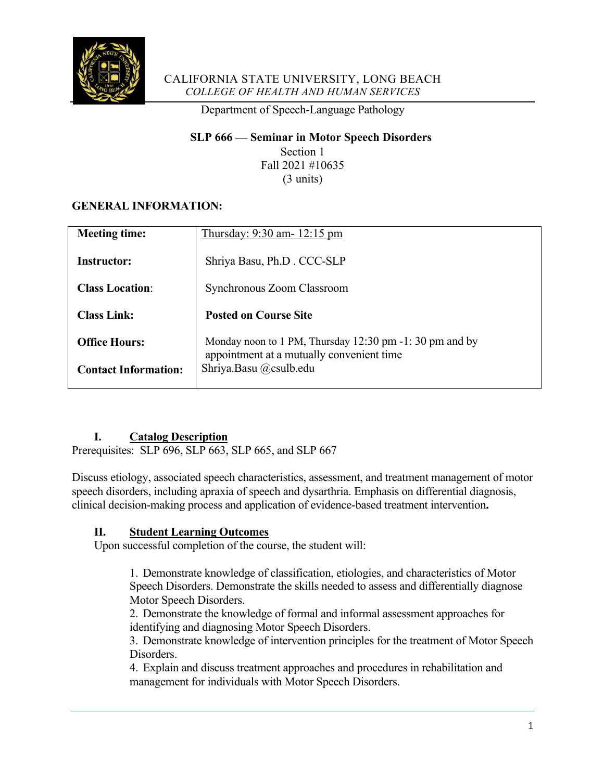

### CALIFORNIA STATE UNIVERSITY, LONG BEACH *COLLEGE OF HEALTH AND HUMAN SERVICES*

Department of Speech-Language Pathology

#### **SLP 666 — Seminar in Motor Speech Disorders**

Section 1 Fall 2021 #10635 (3 units)

## **GENERAL INFORMATION:**

| <b>Meeting time:</b>        | Thursday: 9:30 am- 12:15 pm                                                                         |
|-----------------------------|-----------------------------------------------------------------------------------------------------|
| Instructor:                 | Shriya Basu, Ph.D. CCC-SLP                                                                          |
| <b>Class Location:</b>      | Synchronous Zoom Classroom                                                                          |
| <b>Class Link:</b>          | <b>Posted on Course Site</b>                                                                        |
| <b>Office Hours:</b>        | Monday noon to 1 PM, Thursday 12:30 pm -1:30 pm and by<br>appointment at a mutually convenient time |
| <b>Contact Information:</b> | Shriya.Basu @csulb.edu                                                                              |

#### **I. Catalog Description**

Prerequisites: SLP 696, SLP 663, SLP 665, and SLP 667

Discuss etiology, associated speech characteristics, assessment, and treatment management of motor speech disorders, including apraxia of speech and dysarthria. Emphasis on differential diagnosis, clinical decision-making process and application of evidence-based treatment intervention**.**

## **II. Student Learning Outcomes**

Upon successful completion of the course, the student will:

1. Demonstrate knowledge of classification, etiologies, and characteristics of Motor Speech Disorders. Demonstrate the skills needed to assess and differentially diagnose Motor Speech Disorders.

2. Demonstrate the knowledge of formal and informal assessment approaches for identifying and diagnosing Motor Speech Disorders.

3. Demonstrate knowledge of intervention principles for the treatment of Motor Speech Disorders.

4. Explain and discuss treatment approaches and procedures in rehabilitation and management for individuals with Motor Speech Disorders.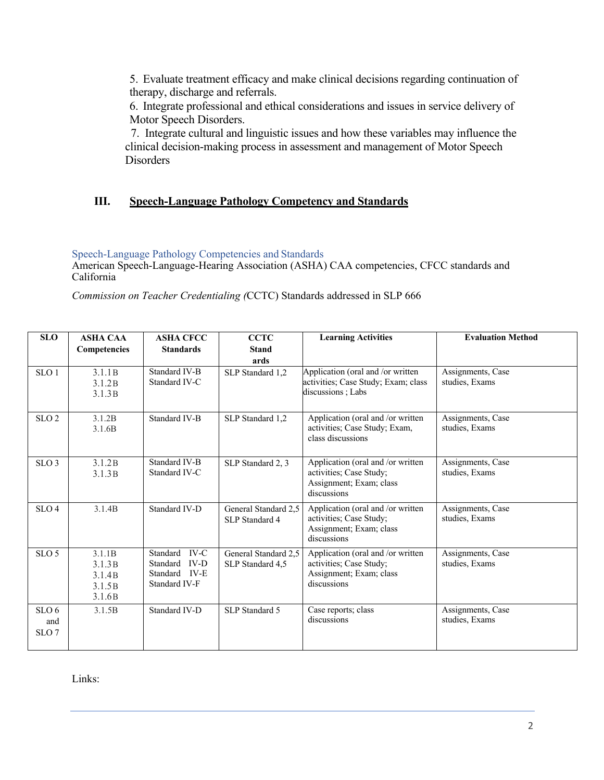5. Evaluate treatment efficacy and make clinical decisions regarding continuation of therapy, discharge and referrals.

6. Integrate professional and ethical considerations and issues in service delivery of Motor Speech Disorders.

 7. Integrate cultural and linguistic issues and how these variables may influence the clinical decision-making process in assessment and management of Motor Speech Disorders

#### **III. Speech-Language Pathology Competency and Standards**

Speech-Language Pathology Competencies and Standards

American Speech-Language-Hearing Association (ASHA) CAA competencies, CFCC standards and California

*Commission on Teacher Credentialing (*CCTC) Standards addressed in SLP 666

| <b>SLO</b>       | <b>ASHA CAA</b>              | <b>ASHA CFCC</b>               | <b>CCTC</b>          | <b>Learning Activities</b>                         | <b>Evaluation Method</b>            |
|------------------|------------------------------|--------------------------------|----------------------|----------------------------------------------------|-------------------------------------|
|                  | Competencies                 | <b>Standards</b>               | <b>Stand</b>         |                                                    |                                     |
|                  |                              |                                | ards                 |                                                    |                                     |
| SLO <sub>1</sub> | 3.1.1B                       | Standard IV-B                  | SLP Standard 1.2     | Application (oral and /or written                  | Assignments, Case                   |
|                  | 3.1.2B                       | Standard IV-C                  |                      | activities; Case Study; Exam; class                | studies, Exams                      |
|                  | 3.1.3B                       |                                |                      | discussions; Labs                                  |                                     |
|                  |                              |                                |                      |                                                    |                                     |
| SLO <sub>2</sub> | 3.1.2B                       | Standard IV-B                  | SLP Standard 1,2     | Application (oral and /or written                  | Assignments, Case                   |
|                  | 3.1.6B                       |                                |                      | activities; Case Study; Exam,<br>class discussions | studies, Exams                      |
|                  |                              |                                |                      |                                                    |                                     |
| SLO <sub>3</sub> | 3.1.2B                       | Standard IV-B                  | SLP Standard 2, 3    | Application (oral and /or written                  | Assignments, Case                   |
|                  | 3.1.3B                       | Standard IV-C                  |                      | activities; Case Study;                            | studies, Exams                      |
|                  |                              |                                |                      | Assignment; Exam; class                            |                                     |
|                  |                              |                                |                      | discussions                                        |                                     |
| SLO <sub>4</sub> | 3.1.4B                       | Standard IV-D                  | General Standard 2.5 | Application (oral and /or written                  | Assignments, Case                   |
|                  |                              |                                | SLP Standard 4       | activities; Case Study;                            | studies, Exams                      |
|                  |                              |                                |                      | Assignment; Exam; class<br>discussions             |                                     |
|                  |                              |                                |                      |                                                    |                                     |
| SLO <sub>5</sub> | 3.1.1B                       | Standard IV-C<br>Standard IV-D | General Standard 2,5 | Application (oral and /or written                  | Assignments, Case                   |
|                  | 3.1.3B                       | Standard IV-E                  | SLP Standard 4,5     | activities; Case Study;<br>Assignment; Exam; class | studies, Exams                      |
|                  | 3.1.4B                       | Standard IV-F                  |                      | discussions                                        |                                     |
|                  | 3.1.5B<br>3.1.6 <sub>B</sub> |                                |                      |                                                    |                                     |
|                  |                              |                                |                      |                                                    |                                     |
| SLO <sub>6</sub> | 3.1.5B                       | Standard IV-D                  | SLP Standard 5       | Case reports; class<br>discussions                 | Assignments, Case<br>studies, Exams |
| and              |                              |                                |                      |                                                    |                                     |
| SLO <sub>7</sub> |                              |                                |                      |                                                    |                                     |
|                  |                              |                                |                      |                                                    |                                     |

Links: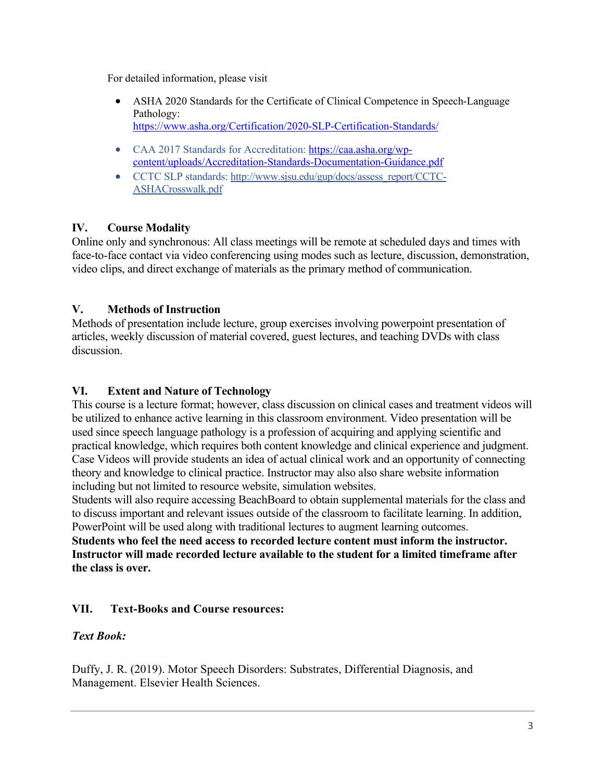For detailed information, please visit

- ASHA 2020 Standards for the Certificate of Clinical Competence in Speech-Language Pathology: https://www.asha.org/Certification/2020-SLP-Certification-Standards/
- CAA 2017 Standards for Accreditation: https://caa.asha.org/wpcontent/uploads/Accreditation-Standards-Documentation-Guidance.pdf
- CCTC SLP standards: http://www.sjsu.edu/gup/docs/assess\_report/CCTC-ASHACrosswalk.pdf

## **IV. Course Modality**

Online only and synchronous: All class meetings will be remote at scheduled days and times with face-to-face contact via video conferencing using modes such as lecture, discussion, demonstration, video clips, and direct exchange of materials as the primary method of communication.

### **V. Methods of Instruction**

Methods of presentation include lecture, group exercises involving powerpoint presentation of articles, weekly discussion of material covered, guest lectures, and teaching DVDs with class discussion.

#### **VI. Extent and Nature of Technology**

This course is a lecture format; however, class discussion on clinical cases and treatment videos will be utilized to enhance active learning in this classroom environment. Video presentation will be used since speech language pathology is a profession of acquiring and applying scientific and practical knowledge, which requires both content knowledge and clinical experience and judgment. Case Videos will provide students an idea of actual clinical work and an opportunity of connecting theory and knowledge to clinical practice. Instructor may also also share website information including but not limited to resource website, simulation websites.

Students will also require accessing BeachBoard to obtain supplemental materials for the class and to discuss important and relevant issues outside of the classroom to facilitate learning. In addition, PowerPoint will be used along with traditional lectures to augment learning outcomes.

**Students who feel the need access to recorded lecture content must inform the instructor. Instructor will made recorded lecture available to the student for a limited timeframe after the class is over.** 

#### **VII. Text-Books and Course resources:**

## *Text Book:*

Duffy, J. R. (2019). Motor Speech Disorders: Substrates, Differential Diagnosis, and Management. Elsevier Health Sciences.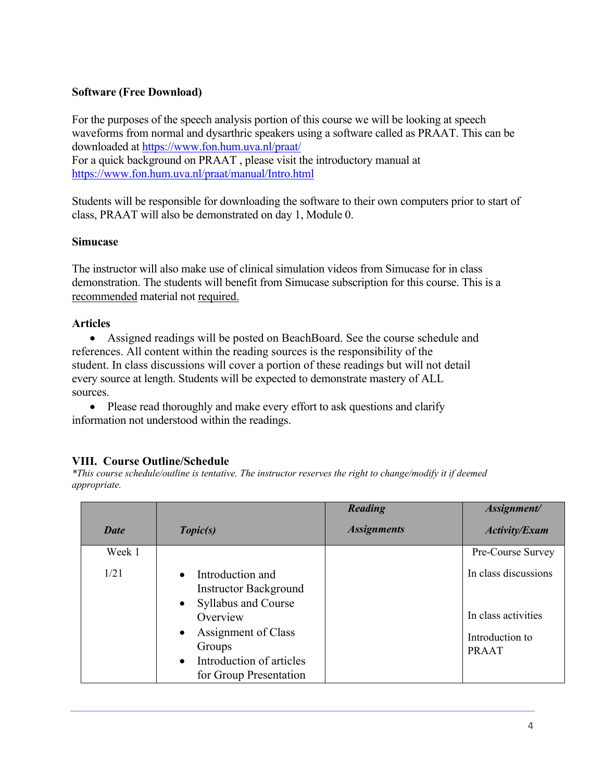### **Software (Free Download)**

For the purposes of the speech analysis portion of this course we will be looking at speech waveforms from normal and dysarthric speakers using a software called as PRAAT. This can be downloaded at https://www.fon.hum.uva.nl/praat/ For a quick background on PRAAT , please visit the introductory manual at https://www.fon.hum.uva.nl/praat/manual/Intro.html

Students will be responsible for downloading the software to their own computers prior to start of class, PRAAT will also be demonstrated on day 1, Module 0.

#### **Simucase**

The instructor will also make use of clinical simulation videos from Simucase for in class demonstration. The students will benefit from Simucase subscription for this course. This is a recommended material not required.

#### **Articles**

• Assigned readings will be posted on BeachBoard. See the course schedule and references. All content within the reading sources is the responsibility of the student. In class discussions will cover a portion of these readings but will not detail every source at length. Students will be expected to demonstrate mastery of ALL sources.

• Please read thoroughly and make every effort to ask questions and clarify information not understood within the readings.

# **VIII. Course Outline/Schedule**

*\*This course schedule/outline is tentative. The instructor reserves the right to change/modify it if deemed appropriate.*

|             |                                                                                                                                                                                                                                       | Reading            | Assignment/                                                                    |
|-------------|---------------------------------------------------------------------------------------------------------------------------------------------------------------------------------------------------------------------------------------|--------------------|--------------------------------------------------------------------------------|
| <b>Date</b> | Topic(s)                                                                                                                                                                                                                              | <b>Assignments</b> | <b>Activity/Exam</b>                                                           |
| Week 1      |                                                                                                                                                                                                                                       |                    | Pre-Course Survey                                                              |
| 1/21        | Introduction and<br>$\bullet$<br><b>Instructor Background</b><br><b>Syllabus and Course</b><br>$\bullet$<br>Overview<br>Assignment of Class<br>$\bullet$<br>Groups<br>Introduction of articles<br>$\bullet$<br>for Group Presentation |                    | In class discussions<br>In class activities<br>Introduction to<br><b>PRAAT</b> |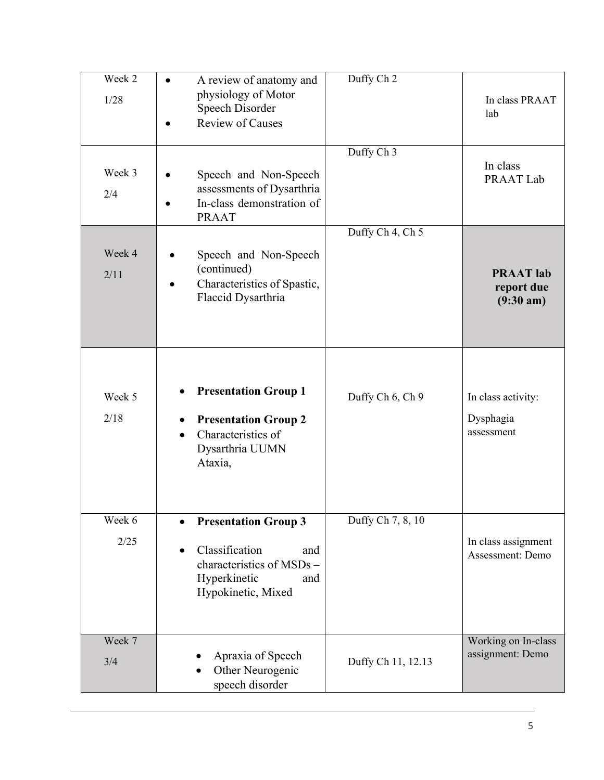| Week 2<br>1/28 | A review of anatomy and<br>physiology of Motor<br>Speech Disorder<br><b>Review of Causes</b>                                   | Duffy Ch 2         | In class PRAAT<br>lab                                 |
|----------------|--------------------------------------------------------------------------------------------------------------------------------|--------------------|-------------------------------------------------------|
| Week 3<br>2/4  | Speech and Non-Speech<br>assessments of Dysarthria<br>In-class demonstration of<br><b>PRAAT</b>                                | Duffy Ch 3         | In class<br>PRAAT Lab                                 |
| Week 4<br>2/11 | Speech and Non-Speech<br>(continued)<br>Characteristics of Spastic,<br>Flaccid Dysarthria                                      | Duffy Ch 4, Ch 5   | <b>PRAAT</b> lab<br>report due<br>$(9:30 \text{ am})$ |
| Week 5<br>2/18 | <b>Presentation Group 1</b><br><b>Presentation Group 2</b><br>Characteristics of<br>Dysarthria UUMN<br>Ataxia,                 | Duffy Ch 6, Ch 9   | In class activity:<br>Dysphagia<br>assessment         |
| Week 6<br>2/25 | <b>Presentation Group 3</b><br>Classification<br>and<br>characteristics of MSDs -<br>Hyperkinetic<br>and<br>Hypokinetic, Mixed | Duffy Ch 7, 8, 10  | In class assignment<br>Assessment: Demo               |
| Week 7<br>3/4  | Apraxia of Speech<br>Other Neurogenic<br>speech disorder                                                                       | Duffy Ch 11, 12.13 | Working on In-class<br>assignment: Demo               |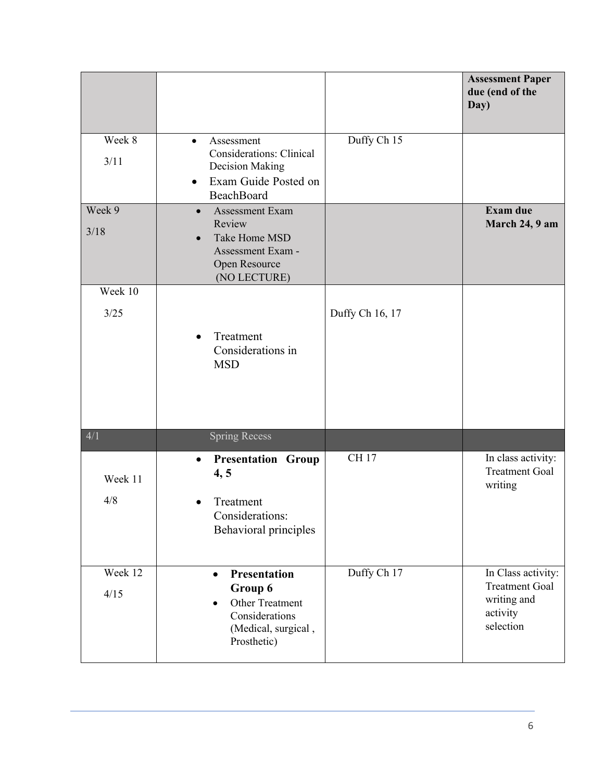|                 |                                                                                                                                     |                 | <b>Assessment Paper</b><br>due (end of the<br>Day)                                  |
|-----------------|-------------------------------------------------------------------------------------------------------------------------------------|-----------------|-------------------------------------------------------------------------------------|
| Week 8<br>3/11  | Assessment<br>$\bullet$<br><b>Considerations: Clinical</b><br>Decision Making<br>Exam Guide Posted on<br><b>BeachBoard</b>          | Duffy Ch 15     |                                                                                     |
| Week 9<br>3/18  | Assessment Exam<br>$\bullet$<br>Review<br>Take Home MSD<br>$\bullet$<br>Assessment Exam -<br>Open Resource<br>(NO LECTURE)          |                 | <b>Exam due</b><br>March 24, 9 am                                                   |
| Week 10<br>3/25 | Treatment<br>Considerations in<br><b>MSD</b>                                                                                        | Duffy Ch 16, 17 |                                                                                     |
| 4/1             | <b>Spring Recess</b>                                                                                                                |                 |                                                                                     |
| Week 11<br>4/8  | <b>Presentation Group</b><br>$\bullet$<br>4, 5<br>Treatment<br>Considerations:<br>Behavioral principles                             | <b>CH17</b>     | In class activity:<br><b>Treatment Goal</b><br>writing                              |
| Week 12<br>4/15 | <b>Presentation</b><br>$\bullet$<br>Group 6<br>Other Treatment<br>$\bullet$<br>Considerations<br>(Medical, surgical,<br>Prosthetic) | Duffy Ch 17     | In Class activity:<br><b>Treatment Goal</b><br>writing and<br>activity<br>selection |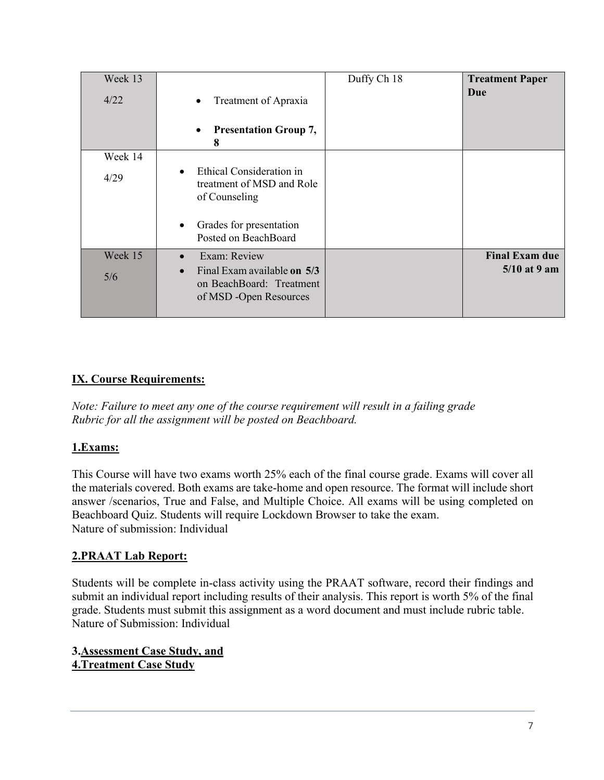| Week 13<br>4/22 | Treatment of Apraxia<br><b>Presentation Group 7,</b><br>$\bullet$<br>8                                                    | Duffy Ch 18 | <b>Treatment Paper</b><br>Due           |
|-----------------|---------------------------------------------------------------------------------------------------------------------------|-------------|-----------------------------------------|
| Week 14<br>4/29 | Ethical Consideration in<br>treatment of MSD and Role<br>of Counseling<br>Grades for presentation<br>Posted on BeachBoard |             |                                         |
| Week 15<br>5/6  | Exam: Review<br>Final Exam available on 5/3<br>on BeachBoard: Treatment<br>of MSD -Open Resources                         |             | <b>Final Exam due</b><br>$5/10$ at 9 am |

# **IX. Course Requirements:**

*Note: Failure to meet any one of the course requirement will result in a failing grade Rubric for all the assignment will be posted on Beachboard.*

## **1.Exams:**

This Course will have two exams worth 25% each of the final course grade. Exams will cover all the materials covered. Both exams are take-home and open resource. The format will include short answer /scenarios, True and False, and Multiple Choice. All exams will be using completed on Beachboard Quiz. Students will require Lockdown Browser to take the exam. Nature of submission: Individual

## **2.PRAAT Lab Report:**

Students will be complete in-class activity using the PRAAT software, record their findings and submit an individual report including results of their analysis. This report is worth 5% of the final grade. Students must submit this assignment as a word document and must include rubric table. Nature of Submission: Individual

**3.Assessment Case Study, and 4.Treatment Case Study**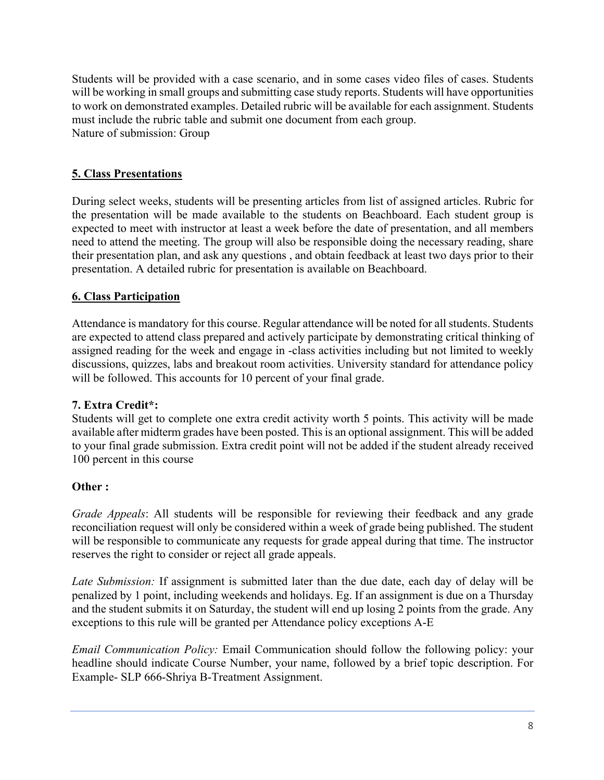Students will be provided with a case scenario, and in some cases video files of cases. Students will be working in small groups and submitting case study reports. Students will have opportunities to work on demonstrated examples. Detailed rubric will be available for each assignment. Students must include the rubric table and submit one document from each group. Nature of submission: Group

### **5. Class Presentations**

During select weeks, students will be presenting articles from list of assigned articles. Rubric for the presentation will be made available to the students on Beachboard. Each student group is expected to meet with instructor at least a week before the date of presentation, and all members need to attend the meeting. The group will also be responsible doing the necessary reading, share their presentation plan, and ask any questions , and obtain feedback at least two days prior to their presentation. A detailed rubric for presentation is available on Beachboard.

### **6. Class Participation**

Attendance is mandatory for this course. Regular attendance will be noted for all students. Students are expected to attend class prepared and actively participate by demonstrating critical thinking of assigned reading for the week and engage in -class activities including but not limited to weekly discussions, quizzes, labs and breakout room activities. University standard for attendance policy will be followed. This accounts for 10 percent of your final grade.

## **7. Extra Credit\*:**

Students will get to complete one extra credit activity worth 5 points. This activity will be made available after midterm grades have been posted. This is an optional assignment. This will be added to your final grade submission. Extra credit point will not be added if the student already received 100 percent in this course

#### **Other :**

*Grade Appeals*: All students will be responsible for reviewing their feedback and any grade reconciliation request will only be considered within a week of grade being published. The student will be responsible to communicate any requests for grade appeal during that time. The instructor reserves the right to consider or reject all grade appeals.

*Late Submission:* If assignment is submitted later than the due date, each day of delay will be penalized by 1 point, including weekends and holidays. Eg. If an assignment is due on a Thursday and the student submits it on Saturday, the student will end up losing 2 points from the grade. Any exceptions to this rule will be granted per Attendance policy exceptions A-E

*Email Communication Policy:* Email Communication should follow the following policy: your headline should indicate Course Number, your name, followed by a brief topic description. For Example- SLP 666-Shriya B-Treatment Assignment.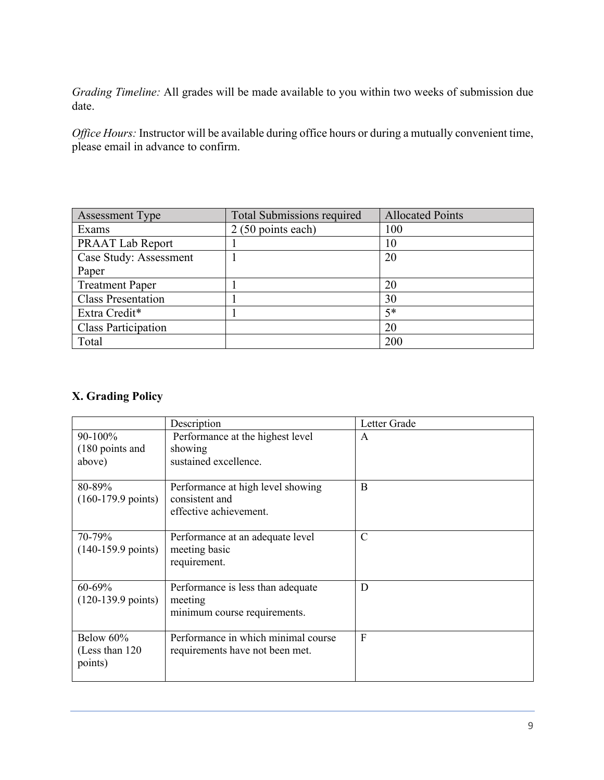*Grading Timeline:* All grades will be made available to you within two weeks of submission due date.

*Office Hours:* Instructor will be available during office hours or during a mutually convenient time, please email in advance to confirm.

| <b>Assessment Type</b>     | <b>Total Submissions required</b> | <b>Allocated Points</b> |
|----------------------------|-----------------------------------|-------------------------|
| Exams                      | 2 (50 points each)                | 100                     |
| <b>PRAAT Lab Report</b>    |                                   | 10                      |
| Case Study: Assessment     |                                   | 20                      |
| Paper                      |                                   |                         |
| <b>Treatment Paper</b>     |                                   | 20                      |
| <b>Class Presentation</b>  |                                   | 30                      |
| Extra Credit*              |                                   | $5*$                    |
| <b>Class Participation</b> |                                   | 20                      |
| Total                      |                                   | 200                     |

### **X. Grading Policy**

|                                         | Description                                                                   | Letter Grade  |
|-----------------------------------------|-------------------------------------------------------------------------------|---------------|
| 90-100%<br>(180 points and<br>above)    | Performance at the highest level<br>showing<br>sustained excellence.          | A             |
| 80-89%<br>$(160-179.9 \text{ points})$  | Performance at high level showing<br>consistent and<br>effective achievement. | B             |
| 70-79%<br>$(140-159.9 \text{ points})$  | Performance at an adequate level<br>meeting basic<br>requirement.             | $\mathcal{C}$ |
| 60-69%<br>$(120-139.9 \text{ points})$  | Performance is less than adequate<br>meeting<br>minimum course requirements.  | D             |
| Below 60%<br>(Less than 120)<br>points) | Performance in which minimal course<br>requirements have not been met.        | F             |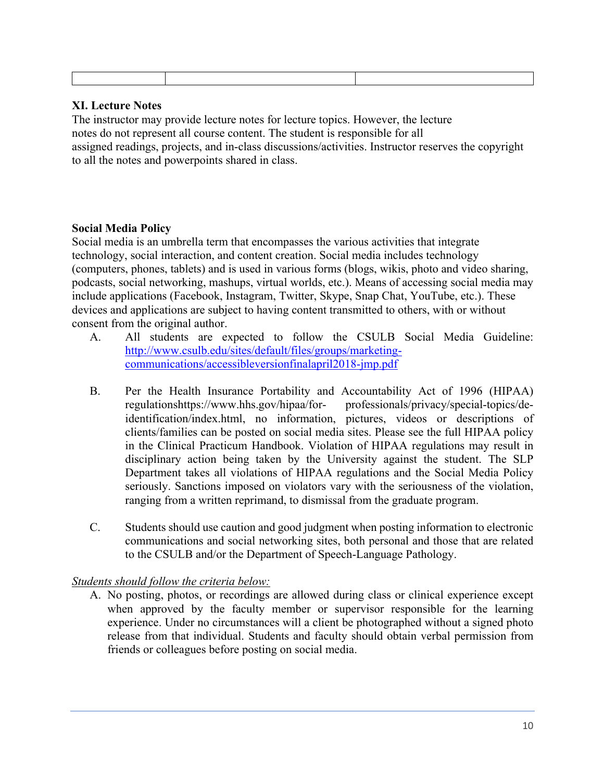### **XI. Lecture Notes**

The instructor may provide lecture notes for lecture topics. However, the lecture notes do not represent all course content. The student is responsible for all assigned readings, projects, and in-class discussions/activities. Instructor reserves the copyright to all the notes and powerpoints shared in class.

### **Social Media Policy**

Social media is an umbrella term that encompasses the various activities that integrate technology, social interaction, and content creation. Social media includes technology (computers, phones, tablets) and is used in various forms (blogs, wikis, photo and video sharing, podcasts, social networking, mashups, virtual worlds, etc.). Means of accessing social media may include applications (Facebook, Instagram, Twitter, Skype, Snap Chat, YouTube, etc.). These devices and applications are subject to having content transmitted to others, with or without consent from the original author.

- A. All students are expected to follow the CSULB Social Media Guideline: http://www.csulb.edu/sites/default/files/groups/marketingcommunications/accessibleversionfinalapril2018-jmp.pdf
- B. Per the Health Insurance Portability and Accountability Act of 1996 (HIPAA) regulationshttps://www.hhs.gov/hipaa/for- professionals/privacy/special-topics/deidentification/index.html, no information, pictures, videos or descriptions of clients/families can be posted on social media sites. Please see the full HIPAA policy in the Clinical Practicum Handbook. Violation of HIPAA regulations may result in disciplinary action being taken by the University against the student. The SLP Department takes all violations of HIPAA regulations and the Social Media Policy seriously. Sanctions imposed on violators vary with the seriousness of the violation, ranging from a written reprimand, to dismissal from the graduate program.
- C. Students should use caution and good judgment when posting information to electronic communications and social networking sites, both personal and those that are related to the CSULB and/or the Department of Speech-Language Pathology.

#### *Students should follow the criteria below:*

A. No posting, photos, or recordings are allowed during class or clinical experience except when approved by the faculty member or supervisor responsible for the learning experience. Under no circumstances will a client be photographed without a signed photo release from that individual. Students and faculty should obtain verbal permission from friends or colleagues before posting on social media.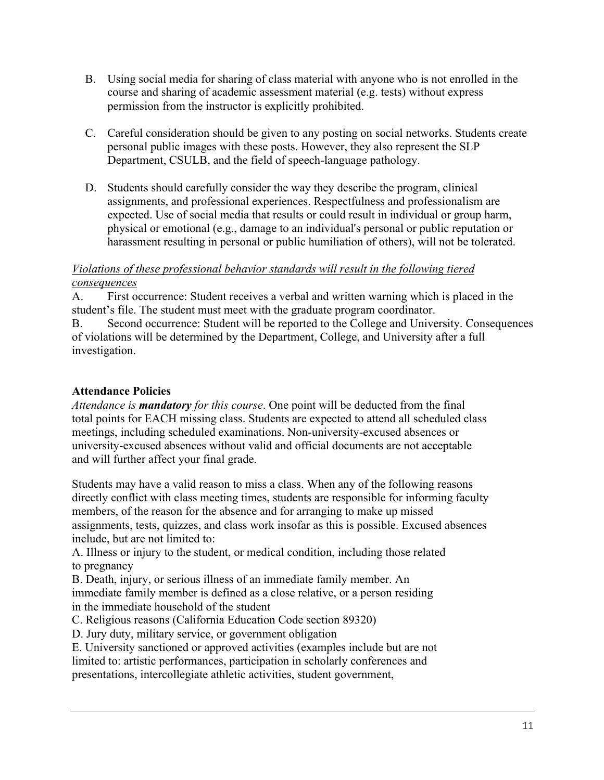- B. Using social media for sharing of class material with anyone who is not enrolled in the course and sharing of academic assessment material (e.g. tests) without express permission from the instructor is explicitly prohibited.
- C. Careful consideration should be given to any posting on social networks. Students create personal public images with these posts. However, they also represent the SLP Department, CSULB, and the field of speech-language pathology.
- D. Students should carefully consider the way they describe the program, clinical assignments, and professional experiences. Respectfulness and professionalism are expected. Use of social media that results or could result in individual or group harm, physical or emotional (e.g., damage to an individual's personal or public reputation or harassment resulting in personal or public humiliation of others), will not be tolerated.

### *Violations of these professional behavior standards will result in the following tiered consequences*

A. First occurrence: Student receives a verbal and written warning which is placed in the student's file. The student must meet with the graduate program coordinator.

B. Second occurrence: Student will be reported to the College and University. Consequences of violations will be determined by the Department, College, and University after a full investigation.

## **Attendance Policies**

*Attendance is mandatory for this course*. One point will be deducted from the final total points for EACH missing class. Students are expected to attend all scheduled class meetings, including scheduled examinations. Non-university-excused absences or university-excused absences without valid and official documents are not acceptable and will further affect your final grade.

Students may have a valid reason to miss a class. When any of the following reasons directly conflict with class meeting times, students are responsible for informing faculty members, of the reason for the absence and for arranging to make up missed assignments, tests, quizzes, and class work insofar as this is possible. Excused absences include, but are not limited to:

A. Illness or injury to the student, or medical condition, including those related to pregnancy

B. Death, injury, or serious illness of an immediate family member. An immediate family member is defined as a close relative, or a person residing in the immediate household of the student

C. Religious reasons (California Education Code section 89320)

D. Jury duty, military service, or government obligation

E. University sanctioned or approved activities (examples include but are not limited to: artistic performances, participation in scholarly conferences and presentations, intercollegiate athletic activities, student government,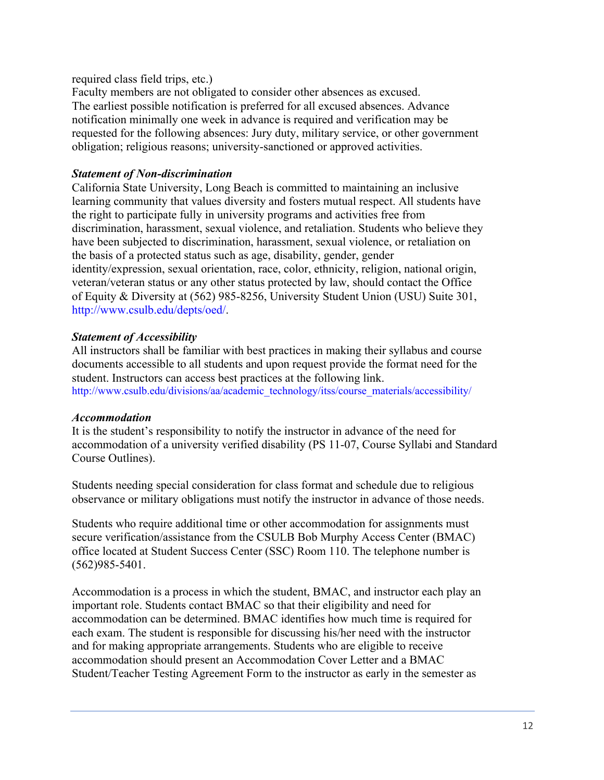required class field trips, etc.)

Faculty members are not obligated to consider other absences as excused. The earliest possible notification is preferred for all excused absences. Advance notification minimally one week in advance is required and verification may be requested for the following absences: Jury duty, military service, or other government obligation; religious reasons; university-sanctioned or approved activities.

#### *Statement of Non-discrimination*

California State University, Long Beach is committed to maintaining an inclusive learning community that values diversity and fosters mutual respect. All students have the right to participate fully in university programs and activities free from discrimination, harassment, sexual violence, and retaliation. Students who believe they have been subjected to discrimination, harassment, sexual violence, or retaliation on the basis of a protected status such as age, disability, gender, gender identity/expression, sexual orientation, race, color, ethnicity, religion, national origin, veteran/veteran status or any other status protected by law, should contact the Office of Equity & Diversity at (562) 985-8256, University Student Union (USU) Suite 301, http://www.csulb.edu/depts/oed/.

#### *Statement of Accessibility*

All instructors shall be familiar with best practices in making their syllabus and course documents accessible to all students and upon request provide the format need for the student. Instructors can access best practices at the following link. http://www.csulb.edu/divisions/aa/academic\_technology/itss/course\_materials/accessibility/

#### *Accommodation*

It is the student's responsibility to notify the instructor in advance of the need for accommodation of a university verified disability (PS 11-07, Course Syllabi and Standard Course Outlines).

Students needing special consideration for class format and schedule due to religious observance or military obligations must notify the instructor in advance of those needs.

Students who require additional time or other accommodation for assignments must secure verification/assistance from the CSULB Bob Murphy Access Center (BMAC) office located at Student Success Center (SSC) Room 110. The telephone number is (562)985-5401.

Accommodation is a process in which the student, BMAC, and instructor each play an important role. Students contact BMAC so that their eligibility and need for accommodation can be determined. BMAC identifies how much time is required for each exam. The student is responsible for discussing his/her need with the instructor and for making appropriate arrangements. Students who are eligible to receive accommodation should present an Accommodation Cover Letter and a BMAC Student/Teacher Testing Agreement Form to the instructor as early in the semester as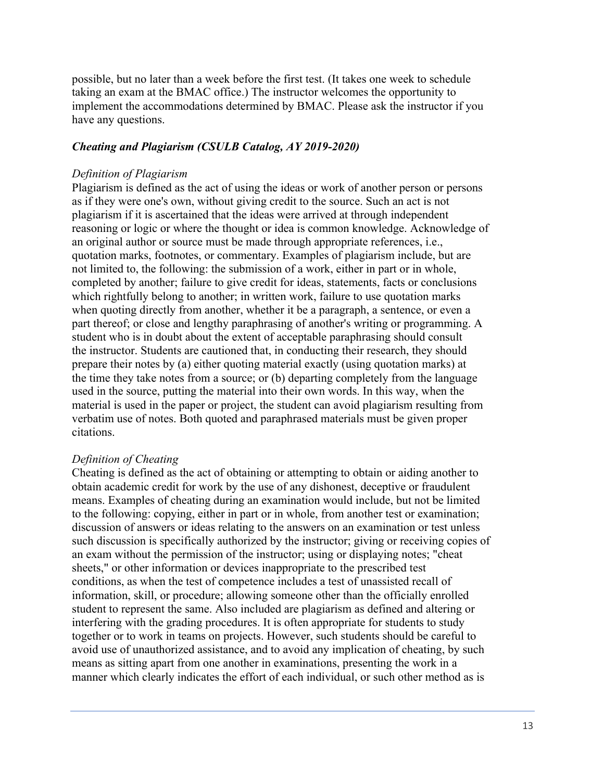possible, but no later than a week before the first test. (It takes one week to schedule taking an exam at the BMAC office.) The instructor welcomes the opportunity to implement the accommodations determined by BMAC. Please ask the instructor if you have any questions.

#### *Cheating and Plagiarism (CSULB Catalog, AY 2019-2020)*

#### *Definition of Plagiarism*

Plagiarism is defined as the act of using the ideas or work of another person or persons as if they were one's own, without giving credit to the source. Such an act is not plagiarism if it is ascertained that the ideas were arrived at through independent reasoning or logic or where the thought or idea is common knowledge. Acknowledge of an original author or source must be made through appropriate references, i.e., quotation marks, footnotes, or commentary. Examples of plagiarism include, but are not limited to, the following: the submission of a work, either in part or in whole, completed by another; failure to give credit for ideas, statements, facts or conclusions which rightfully belong to another; in written work, failure to use quotation marks when quoting directly from another, whether it be a paragraph, a sentence, or even a part thereof; or close and lengthy paraphrasing of another's writing or programming. A student who is in doubt about the extent of acceptable paraphrasing should consult the instructor. Students are cautioned that, in conducting their research, they should prepare their notes by (a) either quoting material exactly (using quotation marks) at the time they take notes from a source; or (b) departing completely from the language used in the source, putting the material into their own words. In this way, when the material is used in the paper or project, the student can avoid plagiarism resulting from verbatim use of notes. Both quoted and paraphrased materials must be given proper citations.

#### *Definition of Cheating*

Cheating is defined as the act of obtaining or attempting to obtain or aiding another to obtain academic credit for work by the use of any dishonest, deceptive or fraudulent means. Examples of cheating during an examination would include, but not be limited to the following: copying, either in part or in whole, from another test or examination; discussion of answers or ideas relating to the answers on an examination or test unless such discussion is specifically authorized by the instructor; giving or receiving copies of an exam without the permission of the instructor; using or displaying notes; "cheat sheets," or other information or devices inappropriate to the prescribed test conditions, as when the test of competence includes a test of unassisted recall of information, skill, or procedure; allowing someone other than the officially enrolled student to represent the same. Also included are plagiarism as defined and altering or interfering with the grading procedures. It is often appropriate for students to study together or to work in teams on projects. However, such students should be careful to avoid use of unauthorized assistance, and to avoid any implication of cheating, by such means as sitting apart from one another in examinations, presenting the work in a manner which clearly indicates the effort of each individual, or such other method as is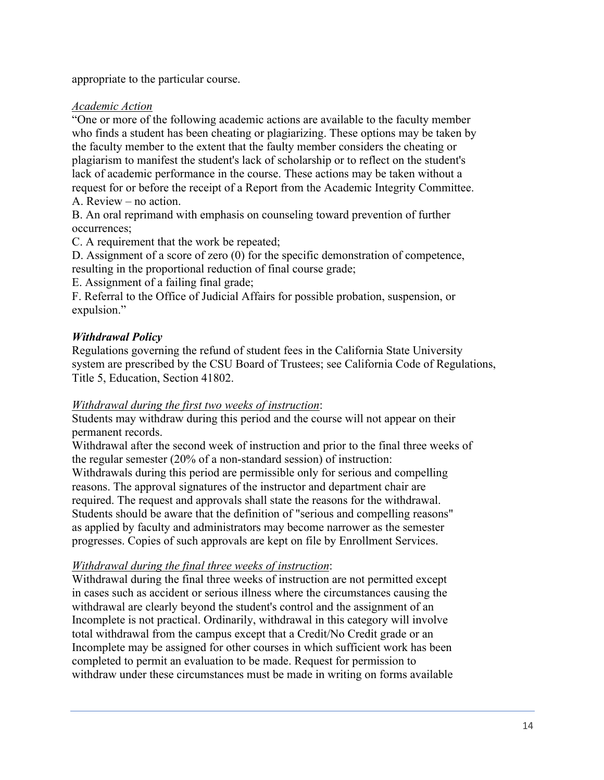appropriate to the particular course.

#### *Academic Action*

"One or more of the following academic actions are available to the faculty member who finds a student has been cheating or plagiarizing. These options may be taken by the faculty member to the extent that the faulty member considers the cheating or plagiarism to manifest the student's lack of scholarship or to reflect on the student's lack of academic performance in the course. These actions may be taken without a request for or before the receipt of a Report from the Academic Integrity Committee. A. Review – no action.

B. An oral reprimand with emphasis on counseling toward prevention of further occurrences;

C. A requirement that the work be repeated;

D. Assignment of a score of zero (0) for the specific demonstration of competence, resulting in the proportional reduction of final course grade;

E. Assignment of a failing final grade;

F. Referral to the Office of Judicial Affairs for possible probation, suspension, or expulsion."

#### *Withdrawal Policy*

Regulations governing the refund of student fees in the California State University system are prescribed by the CSU Board of Trustees; see California Code of Regulations, Title 5, Education, Section 41802.

#### *Withdrawal during the first two weeks of instruction*:

Students may withdraw during this period and the course will not appear on their permanent records.

Withdrawal after the second week of instruction and prior to the final three weeks of the regular semester (20% of a non-standard session) of instruction: Withdrawals during this period are permissible only for serious and compelling reasons. The approval signatures of the instructor and department chair are required. The request and approvals shall state the reasons for the withdrawal. Students should be aware that the definition of "serious and compelling reasons" as applied by faculty and administrators may become narrower as the semester progresses. Copies of such approvals are kept on file by Enrollment Services.

#### *Withdrawal during the final three weeks of instruction*:

Withdrawal during the final three weeks of instruction are not permitted except in cases such as accident or serious illness where the circumstances causing the withdrawal are clearly beyond the student's control and the assignment of an Incomplete is not practical. Ordinarily, withdrawal in this category will involve total withdrawal from the campus except that a Credit/No Credit grade or an Incomplete may be assigned for other courses in which sufficient work has been completed to permit an evaluation to be made. Request for permission to withdraw under these circumstances must be made in writing on forms available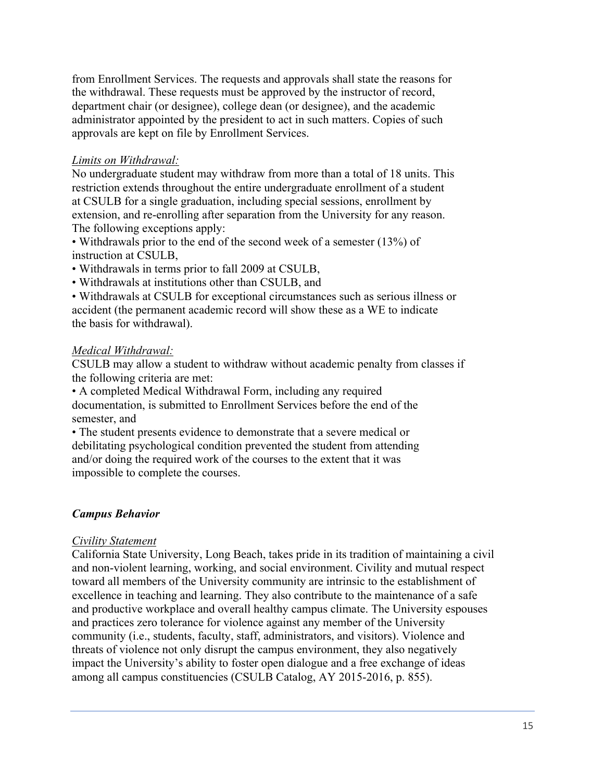from Enrollment Services. The requests and approvals shall state the reasons for the withdrawal. These requests must be approved by the instructor of record, department chair (or designee), college dean (or designee), and the academic administrator appointed by the president to act in such matters. Copies of such approvals are kept on file by Enrollment Services.

#### *Limits on Withdrawal:*

No undergraduate student may withdraw from more than a total of 18 units. This restriction extends throughout the entire undergraduate enrollment of a student at CSULB for a single graduation, including special sessions, enrollment by extension, and re-enrolling after separation from the University for any reason. The following exceptions apply:

• Withdrawals prior to the end of the second week of a semester (13%) of instruction at CSULB,

- Withdrawals in terms prior to fall 2009 at CSULB,
- Withdrawals at institutions other than CSULB, and

• Withdrawals at CSULB for exceptional circumstances such as serious illness or accident (the permanent academic record will show these as a WE to indicate the basis for withdrawal).

#### *Medical Withdrawal:*

CSULB may allow a student to withdraw without academic penalty from classes if the following criteria are met:

• A completed Medical Withdrawal Form, including any required documentation, is submitted to Enrollment Services before the end of the semester, and

• The student presents evidence to demonstrate that a severe medical or debilitating psychological condition prevented the student from attending and/or doing the required work of the courses to the extent that it was impossible to complete the courses.

#### *Campus Behavior*

#### *Civility Statement*

California State University, Long Beach, takes pride in its tradition of maintaining a civil and non-violent learning, working, and social environment. Civility and mutual respect toward all members of the University community are intrinsic to the establishment of excellence in teaching and learning. They also contribute to the maintenance of a safe and productive workplace and overall healthy campus climate. The University espouses and practices zero tolerance for violence against any member of the University community (i.e., students, faculty, staff, administrators, and visitors). Violence and threats of violence not only disrupt the campus environment, they also negatively impact the University's ability to foster open dialogue and a free exchange of ideas among all campus constituencies (CSULB Catalog, AY 2015-2016, p. 855).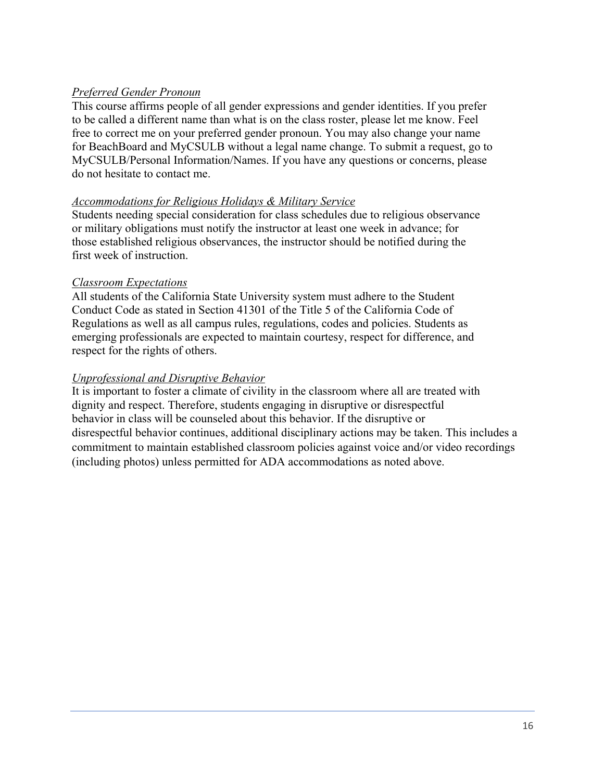### *Preferred Gender Pronoun*

This course affirms people of all gender expressions and gender identities. If you prefer to be called a different name than what is on the class roster, please let me know. Feel free to correct me on your preferred gender pronoun. You may also change your name for BeachBoard and MyCSULB without a legal name change. To submit a request, go to MyCSULB/Personal Information/Names. If you have any questions or concerns, please do not hesitate to contact me.

#### *Accommodations for Religious Holidays & Military Service*

Students needing special consideration for class schedules due to religious observance or military obligations must notify the instructor at least one week in advance; for those established religious observances, the instructor should be notified during the first week of instruction.

#### *Classroom Expectations*

All students of the California State University system must adhere to the Student Conduct Code as stated in Section 41301 of the Title 5 of the California Code of Regulations as well as all campus rules, regulations, codes and policies. Students as emerging professionals are expected to maintain courtesy, respect for difference, and respect for the rights of others.

#### *Unprofessional and Disruptive Behavior*

It is important to foster a climate of civility in the classroom where all are treated with dignity and respect. Therefore, students engaging in disruptive or disrespectful behavior in class will be counseled about this behavior. If the disruptive or disrespectful behavior continues, additional disciplinary actions may be taken. This includes a commitment to maintain established classroom policies against voice and/or video recordings (including photos) unless permitted for ADA accommodations as noted above.